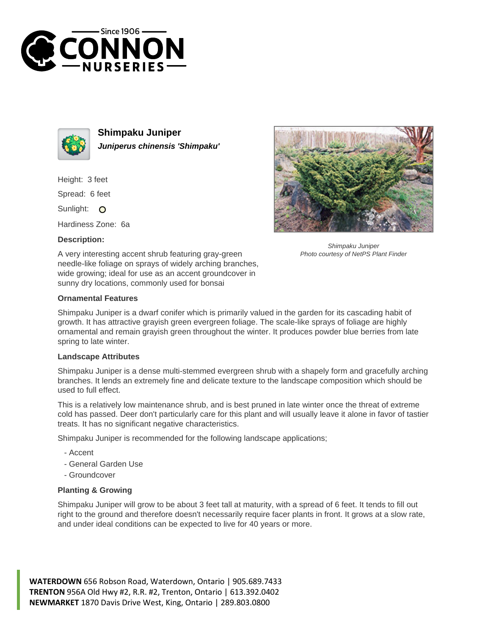



**Shimpaku Juniper Juniperus chinensis 'Shimpaku'**

Height: 3 feet

Spread: 6 feet

Sunlight: O

Hardiness Zone: 6a

## **Description:**



Shimpaku Juniper Photo courtesy of NetPS Plant Finder

A very interesting accent shrub featuring gray-green needle-like foliage on sprays of widely arching branches, wide growing; ideal for use as an accent groundcover in sunny dry locations, commonly used for bonsai

## **Ornamental Features**

Shimpaku Juniper is a dwarf conifer which is primarily valued in the garden for its cascading habit of growth. It has attractive grayish green evergreen foliage. The scale-like sprays of foliage are highly ornamental and remain grayish green throughout the winter. It produces powder blue berries from late spring to late winter.

## **Landscape Attributes**

Shimpaku Juniper is a dense multi-stemmed evergreen shrub with a shapely form and gracefully arching branches. It lends an extremely fine and delicate texture to the landscape composition which should be used to full effect.

This is a relatively low maintenance shrub, and is best pruned in late winter once the threat of extreme cold has passed. Deer don't particularly care for this plant and will usually leave it alone in favor of tastier treats. It has no significant negative characteristics.

Shimpaku Juniper is recommended for the following landscape applications;

- Accent
- General Garden Use
- Groundcover

## **Planting & Growing**

Shimpaku Juniper will grow to be about 3 feet tall at maturity, with a spread of 6 feet. It tends to fill out right to the ground and therefore doesn't necessarily require facer plants in front. It grows at a slow rate, and under ideal conditions can be expected to live for 40 years or more.

**WATERDOWN** 656 Robson Road, Waterdown, Ontario | 905.689.7433 **TRENTON** 956A Old Hwy #2, R.R. #2, Trenton, Ontario | 613.392.0402 **NEWMARKET** 1870 Davis Drive West, King, Ontario | 289.803.0800